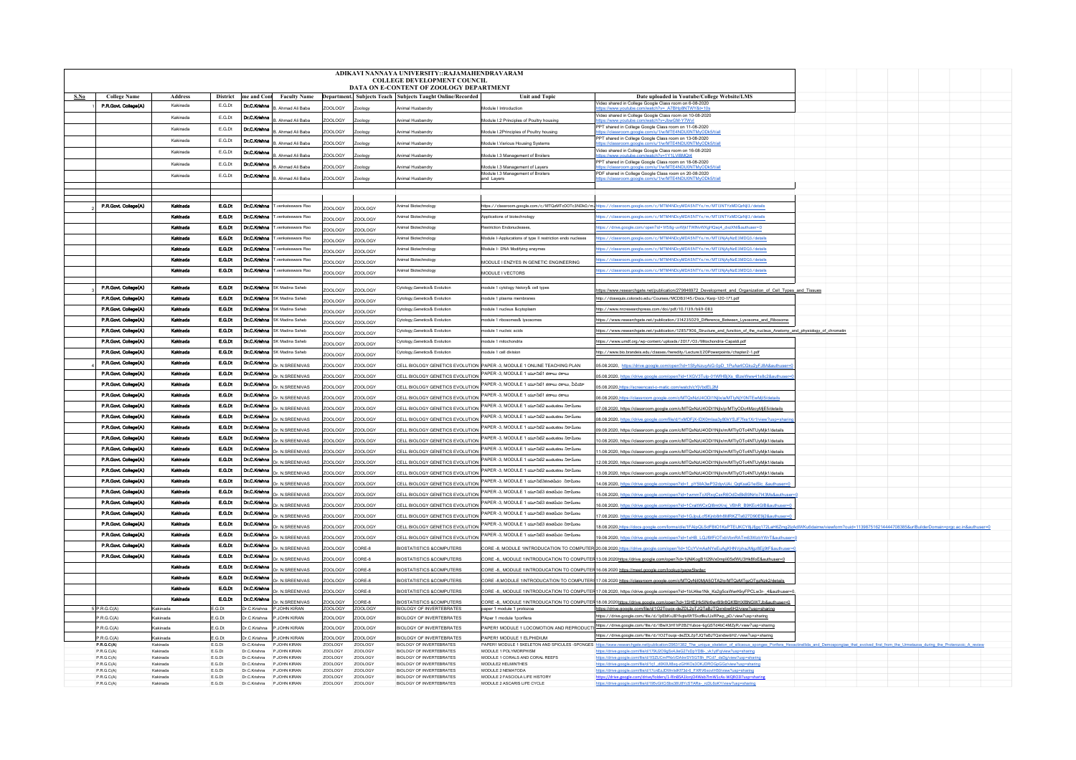|                                         | ADIKAVI NANNAYA UNIVERSITY::RAJAMAHENDRAVARAM<br><b>COLLEGE DEVELOPMENT COUNCIL</b> |                      |                  |                              |                                           |                    |                    |                                                                    |                                                                                                                   |                                                                                                                                                                                                                                |  |  |
|-----------------------------------------|-------------------------------------------------------------------------------------|----------------------|------------------|------------------------------|-------------------------------------------|--------------------|--------------------|--------------------------------------------------------------------|-------------------------------------------------------------------------------------------------------------------|--------------------------------------------------------------------------------------------------------------------------------------------------------------------------------------------------------------------------------|--|--|
| DATA ON E-CONTENT OF ZOOLOGY DEPARTMENT |                                                                                     |                      |                  |                              |                                           |                    |                    |                                                                    |                                                                                                                   |                                                                                                                                                                                                                                |  |  |
| S.No                                    | <b>College Name</b>                                                                 | <b>Address</b>       | <b>District</b>  |                              | me and Cont Faculty Name                  |                    |                    | Department. Subjects Teach Subjects Taught Online/Recorded         | <b>Unit and Topic</b>                                                                                             | Date uploaded in Youtube/College Website/LMS                                                                                                                                                                                   |  |  |
|                                         | P.R.Govt. College(A)                                                                | Kakinada             | E.G.Dt           | Dr.C.Krishne                 | Ahmad Ali Baha                            | OOLOGY             | cology             | Animal Husbandry                                                   | Module I Introduction                                                                                             | Video shared in College Google Class room on 6-08-2020                                                                                                                                                                         |  |  |
|                                         |                                                                                     | Kakinada             | E G Dt           | Dr.C.Krishne                 |                                           |                    |                    |                                                                    |                                                                                                                   | Video shared in College Google Class room on 10-08-2020                                                                                                                                                                        |  |  |
|                                         |                                                                                     | Kakinada             | E.G.Dt           |                              | B. Ahmad Ali Baba                         | <b>ZOOLOGY</b>     | vpology            | Animal Husbandry                                                   | Aodule I.2 Principles of Poultry housing                                                                          | s://www.youtub<br>PPT shared in College Google Class room on 11-08-2020                                                                                                                                                        |  |  |
|                                         |                                                                                     |                      |                  | Dr.C.Krishna                 | 3. Ahmad Ali Baba                         | OOLOGY             | vpology            | Animal Husbandry                                                   | Module I.2Principles of Poultry housing                                                                           |                                                                                                                                                                                                                                |  |  |
|                                         |                                                                                     | Kakinada             | E.G.Dt           | Dr.C.Krishne                 | Ahmad Ali Baba                            | OOLOGY             |                    | Animal Husbandry                                                   | Module I.Various Housing Systems                                                                                  | PPT shared in College Google Class room on 13-08-2020                                                                                                                                                                          |  |  |
|                                         |                                                                                     | Kakinada             | E.G.Dt           | Dr.C.Krishne                 | Ahmad Ali Baha                            | OOLOGY             |                    | Animal Husbandry                                                   | <b>Module 1.3 Management of Broiler</b>                                                                           | Video shared in College Google Class room on 16-08-2020                                                                                                                                                                        |  |  |
|                                         |                                                                                     | Kakinada             | E.G.Dt           | Dr.C.Knshne                  | R Ahmad Ali Raha                          | OOLOGY             |                    |                                                                    |                                                                                                                   | PPT shared in College Google Class room on 18-08-2020                                                                                                                                                                          |  |  |
|                                         |                                                                                     | Kakinada             | E.G.Dt           | Dr.C.Krishna                 |                                           |                    | vology             | Animal Husbandry                                                   | Module I.3 Management of Layers<br>Module I.3 Management of Broilers                                              | PDF shared in College Google Class room on 20-08-2020                                                                                                                                                                          |  |  |
|                                         |                                                                                     |                      |                  |                              | B. Ahmad Ali Baba                         | ZOOLOGY            | Zoology            | Animal Husbandry                                                   | and Layers                                                                                                        |                                                                                                                                                                                                                                |  |  |
|                                         |                                                                                     |                      |                  |                              |                                           |                    |                    |                                                                    |                                                                                                                   |                                                                                                                                                                                                                                |  |  |
|                                         |                                                                                     |                      |                  |                              |                                           |                    |                    |                                                                    |                                                                                                                   |                                                                                                                                                                                                                                |  |  |
|                                         | P.R.Govt. College(A)                                                                | Kakinada             | E.G.Dt           | Dr.C.Kishna                  | T.venkateswara Rao                        | YOOL OGY           | ZOOLOGY            | Animal Biotechnology                                               |                                                                                                                   | https://classroom.google.com/c/MTQzMTc0OTc3NDk0/m <sub>a</sub> https://classroom.google.com/c/MTM4NDcyMDA5NTYx/m/MTI3NTYzMDQzNji3/details                                                                                      |  |  |
|                                         |                                                                                     | Kakinada             | E.G.Dt           | Dr.C.Krishne                 | T.venkateswara Rao                        | OOLOGY             | OOLOGY             | Animal Biotechnology                                               | Applications of biotechnology                                                                                     | ttps://classroom.google.com/c/MTM4NDcyMDA5NTYx/m/MTI3NTYzMDQzNjI3/details                                                                                                                                                      |  |  |
|                                         |                                                                                     | Kakinada             | E.Q.N            |                              | Dr.C.Krishna T.venkateswara Rao           | OOLOGY             | OOLOGY             | Animal Biotechnology                                               | testriction Endonucleases                                                                                         | https://drive.google.com/open?id=1if58g-uvWjk1TWINvWXgHQsq4_dvzXNI&authuser=0                                                                                                                                                  |  |  |
|                                         |                                                                                     | Kakinada             | E.G.Dt           | Dr.C.Krishne                 | venkateswara Rao                          | ZOOLOGY            | <b>ZOOLOGY</b>     | Inimal Biotechnology                                               | Module I-Applucations of type II restriction endo nucleses                                                        | ttps://classroom.google.com/c/MTM4NDcyMDA5NTYx/m/MTI3NjAyNzE3MDQ3/details                                                                                                                                                      |  |  |
|                                         |                                                                                     | Karlnada             | E.C.Dt           | Dr.C.Krishne                 | venkateswara Rac                          | OOLOGY             | OOLOGY             | nimal Biotechnology                                                | Addule I- DNA Modifying enzymes                                                                                   | https://classroom.google.com/c/MTM4NDcyMDA5NTYx/m/MTI3NjAyNzE3MDQ3/details                                                                                                                                                     |  |  |
|                                         |                                                                                     | Kakinad              | E.G.Dt           | Dr.C.Kilshne                 | .<br>venkateswara Rao                     |                    |                    | Animal Biotechnology                                               |                                                                                                                   | ttps://classroom.google.com/c/MTM4NDcyMDA5NTYx/m/MTI3NjAyNzE3MDQ3/details                                                                                                                                                      |  |  |
|                                         |                                                                                     | Kardnad              | E.Q.Dt           | Dr.C.Knshna                  |                                           | OOLOGY             | <b>ZOOLOGY</b>     |                                                                    | MODULE I ENZYES IN GENETIC ENGINEERING                                                                            |                                                                                                                                                                                                                                |  |  |
|                                         |                                                                                     |                      |                  |                              | venkateswara Rao                          | YOOL OGY           | ZOOLOGY            | nimal Biotechnology                                                | <b>JODULE LVECTORS</b>                                                                                            | ttps://classroom.google.com/c/MTM4NDcyMDA5NTYx/m/MTI3NjAyNzE3MDQ3/details                                                                                                                                                      |  |  |
|                                         | P.R.Govt. College(A)                                                                | Kakinada             | E.G.Dt           |                              | <b>Dr.C.Krishna</b> SK Madina Sabeb       |                    |                    | Cytology, Genetics& Evolutio                                       | odule 1 cytology history& cell types                                                                              |                                                                                                                                                                                                                                |  |  |
|                                         | P.R.Govt. College(A)                                                                | Kakinada             | <b>F.G.DE</b>    |                              | Dr.C.Krishna SK Madina Saheb              | OOLOGY             | ZOOLOGY            |                                                                    |                                                                                                                   | https://www.researchgate.net/publication/279846972_Development_and_Organization_of_Cell_Types_and_Tissues                                                                                                                      |  |  |
|                                         |                                                                                     |                      |                  |                              |                                           | ZOOLOGY            | OOLOGY             | Cytology, Genetics& Evolution                                      | odule 1 plasma membranes                                                                                          | http://dosequis.colorado.edu/Courses/MCDB3145/Docs/Karp-120-171.pdf                                                                                                                                                            |  |  |
|                                         | P.R.Govt. College(A)                                                                | Kakinada             | E.G.Dt           |                              | Dr.C.Krishna SK Madina Saheb              | ZOOLOGY            | <b>ZOOLOGY</b>     | ytology, Genetics& Evolutio                                        | odule 1 nucleus &cytoplasr                                                                                        | http://www.nrcresearchpress.com/doi/pdf/10.1139/b69-083                                                                                                                                                                        |  |  |
|                                         | P.R.Govt. College(A)                                                                | Kakinada             | E.G.Dt           | Dr.C.Krishne                 | SK Madina Saheb                           | OOLOGY             | OOLOGY             | Cytology, Genetics& Evolution                                      | todule 1 ribosomes& lysosomes                                                                                     | https://www.researchgate.net/publication/314235029_Difference_Between_Lysosome_and_Ribosome                                                                                                                                    |  |  |
|                                         | P.R.Govt. College(A)                                                                | Kakinada             | <b>E.G.Dt</b>    |                              | Dr.C.Krishna SK Madina Saheb              | COLOGY             | OOLOGY             | Cytology, Genetics& Evolution                                      | todule 1 nucleic acids                                                                                            | https://www.researchgate.net/publication/12857906_Structure_and_function_of_the_nucleus_Anatomy_and_physiology_of_chromatin                                                                                                    |  |  |
|                                         | P.R.Govt. College(A)                                                                | Kakinada             | E.O.Dt           |                              | <b>Dr.C.Krishna</b> SK Madina Sabeb       | OOLOGY             | OOLOGY             | Cytology, Genetics& Evolution                                      | todule 1 mitochondria                                                                                             | https://www.umdf.org/wp-content/uploads/2017/03/Mitochondria-Capaldi.pdl                                                                                                                                                       |  |  |
|                                         | P.R.Govt. College(A)                                                                | Kakinada             | EQD              |                              | Dr C.Krishna SK Madina Saheb              | OOLOGY             | DOLOGY             | Cytology, Genetics& Evolution                                      | todule 1 cell division                                                                                            | http://www.bio.brandeis.edu/classes/heredity/Lecture%20Powerpoints/chapter2-1.pdf                                                                                                                                              |  |  |
|                                         | P.R.Govt. College(A)                                                                | Karlnada             | E.O.Dt           | Dr.C.Knshna                  |                                           |                    |                    |                                                                    |                                                                                                                   |                                                                                                                                                                                                                                |  |  |
|                                         | P.R.Govt. College(A)                                                                | Kakinada             | E.G.Dt           | Dr.C.Krishne                 | Dr. N.SREENIVAS                           | ZOOLOGY            | <b>ZOOLOGY</b>     |                                                                    | CELL BIOLOGY GENETICS EVOLUTION PAPER -3. MODULE 1 ONLINE TEACHING PLAN<br>PAPER -3, MODULE 1 యూనిటి1 కణాలు రకాలు | 05.08.2020, https://drive.google.com/open?id=1SfyAizuyAiG-0pD_1PuAa4CGku2yFJ8A&authuser                                                                                                                                        |  |  |
|                                         | P.R.Govt. College(A)                                                                | Kakinada             | E.G.Dt           |                              | Dr. N.SREENIVAS                           | 00L0GY             | OOLOGY             | CELL BIOLOGY GENETICS EVOLUTION                                    |                                                                                                                   | 5.08.2020, https://drive.google.com/open?id=1XGV3Tulp-01WfHBiXs_tBzeWww41s8c2&authus                                                                                                                                           |  |  |
|                                         |                                                                                     |                      |                  | Dr.C.Krishna                 | Dr. N.SREENIVAS                           | ZOOLOGY            | ZOOLOGY            | CELL BIOLOGY GENETICS EVOLUTION                                    | PAPER -3, MODULE 1 యూనిటి1 కణాలు రకాలు, వీడియో                                                                    | 05.08.2020.https://screencast-o-matic.com/watch/cYiVbdEL2M                                                                                                                                                                     |  |  |
|                                         | P.R.Govt. College(A)                                                                | Kakinada             | E.G.Dt           | Dr.C.Krishna                 | Dr N SREENIVAS                            | OOLOGY             | ZOOLOGY            | CELL BIOLOGY GENETICS EVOLUTION                                    | PAPER -3. MODULE 1 యూనిటి1 కణాలు రకాలు                                                                            | 06.08.2020.https://classroom.google.com/c/MTQxNzU4ODI1Njlx/a/MTIyNjY0NTEwMjl5/deta                                                                                                                                             |  |  |
|                                         | P.R.Govt. College(A)                                                                | Kakinada             | E.G.Dt           | Dr.C.Krishne                 | Dr N SREENIVAS                            | OOLOGY             | DOLOGY             | CELL BIOLOGY GENETICS EVOLUTION                                    | PAPER -3. MODULE 1 యూనిటి2 జంతుకణం నిరామణం                                                                        | 7.08.2020, https://classroom.google.com/c/MTQxNzU4ODI1NjIx/p/MTlyODc4MzcyMjE5/details                                                                                                                                          |  |  |
|                                         | P.R.Govt. College(A)                                                                | Karlnada             | E.G.Dt           | Dr.C.Knshne                  | Dr. N.SREENIVAS                           | <b>ZOOLOGY</b>     | ZOOLOGY            | CELL BIOLOGY GENETICS EVOLUTION                                    | PAPER -3, MODULE 1 యూనిటి2 జంతుకణం నిరామీణం                                                                       | 08.08.2020, https://drive.google.com/file/d/1xMDFjX-IDX0mlaa3y80kYSJF7fxs1Xr1/view?usp=sha                                                                                                                                     |  |  |
|                                         | P.R.Govt. College(A)                                                                | Kakinada             | <b>E.G.Dt</b>    | Dr.C.Krishne                 | Dr. N.SREENIVAS                           | OOLOGY             | OOLOGY             | CELL BIOLOGY GENETICS EVOLUTION                                    | PAPER -3, MODULE 1 యూనిటి2 జంతుకణం నిరామీణం                                                                       | 09.08.2020, https://classroom.google.com/c/MTQxNzU4ODI1Njlx/m/MTIyOTc4NTUyMjk1/details                                                                                                                                         |  |  |
|                                         | P.R.Govt. College(A)                                                                | Kakinada             | E.Q.Dt           | Dr.C.Knshna                  | Dr. N.SREENIVAS                           | ZOOLOGY            | ZOOLOGY            | CELL BIOLOGY GENETICS EVOLUTION                                    | PAPER -3, MODULE 1 యూనిటి2 జంతుకణం నిరామణం                                                                        | 10.08.2020. https://classroom.google.com/c/MTQxNzU4ODI1Nilx/m/MTIvOTc4NTUvMik1/details                                                                                                                                         |  |  |
|                                         | P.R.Govt. College(A)                                                                | Kakinada             | E.G.Dt           | Dr.C.Krishne                 |                                           |                    |                    |                                                                    | PAPER -3, MODULE 1 యూనిటి2 జంతుకణం నిరామణం                                                                        |                                                                                                                                                                                                                                |  |  |
|                                         | P.R.Govt. College(A)                                                                | Kakinada             | E.O.Dt           | Dr.C.Krishne                 | Ir N SREENIVAS                            | OOLOGY             | OOLOGY             | CELL BIOLOGY GENETICS EVOLUTION                                    | PAPER -3. MODULE 1 యూనిటి2 జంతుకణం నిరామణం                                                                        | 1.08.2020, https://classroom.google.com/c/MTQxNzU4ODI1NjIx/m/MTIyOTo4NTUyMjk1/details                                                                                                                                          |  |  |
|                                         |                                                                                     |                      |                  |                              | Tr N SREENIVAS                            | 700LOGY            | OOLOGY             | CELL BIOLOGY GENETICS EVOLUTION                                    |                                                                                                                   | 12.08.2020, https://classroom.google.com/c/MTQxNzU4ODI1Njlx/m/MTIyOTc4NTUyMjk1/details                                                                                                                                         |  |  |
|                                         | P.R.Govt. College(A)                                                                | Kakinada             | E.G.Dt           | Dr.C.Krishne                 | Dr N SREENIVAS                            | ZOOLOGY            | OOLOGY             | CELL BIOLOGY GENETICS EVOLUTION                                    | PAPER -3. MODULE 1 యూనిటి2 జంతుకణం నిరామణం                                                                        | 3.08.2020, https://classroom.google.com/c/MTQxNzU4ODI1Njlx/m/MTIyOTo4NTUyMjk1/details                                                                                                                                          |  |  |
|                                         | P.R.Govt. College(A)                                                                | Kakinada             | EQD              | Dr.C.Krishna                 | r. N.SREENIVAS                            | <b>OOLOGY</b>      | OOLOGY             | CELL BIOLOGY GENETICS EVOLUTION                                    | PAPER -3, MODULE 1 యూనిటి3కణతపేచం నిరామణం                                                                         | 1.08.2020, https://drive.google.com/open?id=1_pY5llA3wP32dyvUAi_QqKsaG1eiSlc_&authu                                                                                                                                            |  |  |
|                                         | P.R.Govt. College(A)                                                                | Kakinada             | E.G.Dt           | Dr.C.Krishne                 | Dr. N.SREENIVAS                           | ZOOLOGY            | <b>ZOOLOGY</b>     |                                                                    | CELL BIOLOGY GENETICS EVOLUTION PAPER -3, MODULE 1 యూనిటి కణతవరం నిరామణం                                          | 15.08.2020, https://drive.google.com/open?id=1wmmToXRxqCsxR6OdDxBkB9Nrlo7I43Ms&authuser=0                                                                                                                                      |  |  |
|                                         | P.R.Govt. College(A)                                                                | Kakinada             | <b>E.G.Dt</b>    | Dr.C.Krishna                 | Dr. N.SREENIVAS                           | 'OOLOGY            | OOLOGY             | CELL BIOLOGY GENETICS EVOLUTION                                    | -<br>PAPER -3. MODULE 1 యూనిటికి కణతపేదరి నిరామణం                                                                 | 6.08.2020, https://drive.google.com/open?id=1CraltWCxQl8mtXrxj_VBhR_B9KEc4GlB&authuser-                                                                                                                                        |  |  |
|                                         | P.R.Govt. College(A)                                                                | Kardnada             | E.O.Dt           | Dr.C.Krishna                 | Dr. N.SREENIVAS                           | ZOOLOGY            | ZOOLOGY            | CELL BIOLOGY GENETICS EVOLUTION                                    | PAPER -3. MODULE 1 యూనిటికి కణతపేదం నిరామణం                                                                       | 17.08.2020. https://drive.google.com/open?id=1GJpuLcf5Kjnb8rh8MRKZTs627D90E9j2&auth                                                                                                                                            |  |  |
|                                         | P.R.Govt. College(A)                                                                | Kakinada             | E.G.Dt           | Dr.C.Krishna                 | Dr. N.SREENIVAS                           | OOLOGY             | OOLOGY             | CELL BIOLOGY GENETICS EVOLUTION                                    | PAPER -3. MODULE 1 యూనిటికి కణతపేదం నిరామణం                                                                       | 8.08.2020.https://docs.google.com/forms/d/e/1FAlpQLSdFBtO1KsPTELJKCY8jJfjgq172LaH6Zmg2lzAdIWKu6daimw/viewform?ouid=113987516214444708385&urlBuilderDomain=prgc.ac.in&authuser=                                                 |  |  |
|                                         | P.R.Govt. College(A)                                                                | Karlnada             | <b>E.G.Dt</b>    | Dr.C.Krishne                 |                                           |                    |                    |                                                                    | PAPER -3, MODULE 1 యూనిటికి కణతపేదం నిరామణం                                                                       |                                                                                                                                                                                                                                |  |  |
|                                         | P.R.Govt. College(A)                                                                | Kakinada             | E.G.Dt           | Dr.C.Kilshna                 | Dr. N.SREENIVAS                           | OOLOGY             | OOLOGY             | CELL BIOLOGY GENETICS EVOLUTION                                    |                                                                                                                   | 19.08.2020, https://drive.google.com/open?id=1xHB_LQJf9fFiOTxbVbnRATm63WzbYWrT&authuser=                                                                                                                                       |  |  |
|                                         |                                                                                     |                      |                  |                              | Dr N SREENIVAS                            | COOLOGY            | CORE-8             | <b>BIOSTATISTICS &amp;COMPUTERS</b>                                |                                                                                                                   | CORE -8, MODULE 1INTRODUCATION TO COMPUTER 20.08.2020, https://drive.google.com/open?id=1CcYVmAaNYeEuAgKHNVphaJMgz8Ejj9tF&authuser                                                                                             |  |  |
|                                         | P.R.Govt. College(A)                                                                | Kakinada             | E.G.Dt           | Dr.C.Krishna                 | Dr. N.SREENIVAS                           | OOLOGY             | ORE-8              | BIOSTATISTICS &COMPUTERS                                           |                                                                                                                   | CORE -8,, MODULE 1INTRODUCATIO <u>N TO COMPUTER</u> 13.08.2020 <u>https://drive.google.com/open?id=1ijNiKogB1l29Vx0mpli05xfWU3Hk8foE&amp;authuser=0</u>                                                                        |  |  |
|                                         |                                                                                     | Kakinada             | E.G.Dt           | Dr.C.Krishna                 | Dr N SREENIVAS                            | ZOOLOGY            | CORE-8             | <b>BIOSTATISTICS &amp;COMPUTERS</b>                                |                                                                                                                   | CORE -8,, MODULE 1INTRODUCATION TO COMPUTER 16.08.2020 https://meet.google.com/lookup/gapw5lwdwr                                                                                                                               |  |  |
|                                         |                                                                                     | Kakinada             | EQD              | Dr.C.Krishne                 | Tr N SREENIVAS                            | YOOL OGY           | CORE-8             | <b>BIOSTATISTICS &amp;COMPUTERS</b>                                |                                                                                                                   | CORE -8,MODULE 1INTRODUCATION TO COMPUTER\$ 17.08.2020 https://classroom.google.com/c/MTQyNji0MjA5OTA2/p/MTQzMTgzOTgzNzk2/details                                                                                              |  |  |
|                                         |                                                                                     | Kakinada             | E.O.Dt           | Dr.C.Knshne                  | Dr N.SREENIVAS                            | OOLOGY             | ORE-8              | <b>BIOSTATISTICS &amp;COMPUTERS</b>                                |                                                                                                                   | CORE -8., MODULE 1INTRODUCATION TO COMPUTER 17.08.2020, https://drive.google.com/open?id=1bU4ke1Nk_Ks2g5csWwrKkyFPCLw3r-_4&authuser=0,                                                                                         |  |  |
|                                         |                                                                                     | Kakinada             | EQD              | Dr.C.Krishne                 | r. N.SREENIVAS                            | OOLOGY             | CORE-8             | <b>BIOSTATISTICS &amp;COMPUTERS</b>                                |                                                                                                                   | CORE -8,, MODULE 1INTRODUCATION TO COMPUTER 18.08.2020https://drive.google.com/open?id=1SHEjHk5INr6wr8I9r8GKfBHXf8NGW7Jb&authuser=0                                                                                            |  |  |
|                                         | PR.G.C(A)                                                                           | (akinada             | E.G.Dt           | Dr.C.Krishna                 | P.JOHN KIRAN                              | ZOOLOGY            | <b>ZOOLOGY</b>     | <b>BIOLOGY OF INVERTEBRATES</b>                                    | paper 1 module 1 protozoa                                                                                         | https://drive.google.com/file/d/1O2Touqx-deZDL2pTJQTaBJTQxrxbw6H2/view?usp=sharing                                                                                                                                             |  |  |
|                                         | P.R.G.C(A)                                                                          | <b>Cakinad</b>       | E.G.Dt           | Or.C.Krishna                 | P.JOHN KIRAN                              | ZOOLOGY            | ZOOLOGY            | <b>BIOLOGY OF INVERTEBRATES</b>                                    | PAper 1 module 1 porifera                                                                                         | ttps://drive.google.com/file/d/1pEbKvJBYkgtaWtTSvzflku1JxRPwp_pD/view?usp=sharing                                                                                                                                              |  |  |
|                                         | PRGC(A)                                                                             | Kakinada             | $F$ G Dt         | Dr C Krishna                 | P.JOHN KIRAN                              | <b>200L0GY</b>     | <b>200LOGY</b>     | <b>BIOLOGY OF INVERTEBRATES</b>                                    |                                                                                                                   | PAPER1 MODULE 1 LOCOMOTION AND REPRODUCTI https://drive.google.com/file/d/1BwX3H11iP2B2Yuboe-6gGSTd4bC4MZyR/view?usp=sharing                                                                                                   |  |  |
|                                         | P.R.G.C(A)                                                                          | Kakinada             | E.G.Dt           | Dr.C.Krishna                 | P.JOHN KIRAN                              | ZOOLOGY            | <b>ZOOLOGY</b>     | <b>BIOLOGY OF INVERTEBRATES</b>                                    | PAPER1 MODULE 1 ELPHIDIUM                                                                                         | https://drive.google.com/file/d/102Touqx-deZDL2pTJQTaBJTQxrxbw6H2/view?usp=sharing                                                                                                                                             |  |  |
|                                         | P.R.G.C(A)<br>PRGC(A)                                                               | Kakinada<br>Kakinada | E.G.Dt<br>E G Dt | Dr C Krishna                 | Dr.C.Krishna P.JOHN KIRAN<br>P.JOHN KIRAN | ZOOLOGY<br>ZOOLOGY | ZOOLOGY<br>ZOOLOGY | <b>BIOLOGY OF INVERTEBRATES</b><br><b>BIOLOGY OF INVERTERRATES</b> | MODULE 1 POLYMORPHISM                                                                                             | PAPER1 MODULE 1 SKELETON AND SPICULES -SPONGES https://www.researchgate.net/publication/29631382 The unique skeleton of siliceous sponges Porifera Hexactinetida and Demospongiae that evolved first from the Urmetazoa during |  |  |
|                                         | P.R.G.C(A)                                                                          | Kakinada             | E.G.Dt           | Dr C Krishna                 | P JOHN KIRAN                              | ZOOLOGY            | ZOOLOGY            | <b>BIOLOGY OF INVERTEBRATES</b>                                    | MODULE 1 CORALS AND CORAL REEFS                                                                                   | s://drive.google.com/file/d/179U2O9gSx4JieG27xDpYDBi- vk1vtFg/view?usp=sharin<br>https://drive.google.com/file/d/1f3ZUCmPNxVDAInrSY5GT8h_PCd7_dsDg/view?usp=sharing                                                            |  |  |
|                                         | P.R.G.C(A                                                                           | Kakinada             | E.G.Dt           | Dr.C.Krishna                 | P.JOHN KIRAN                              | ZOOLOGY            | ZOOLOGY            | <b>BIOLOGY OF INVERTEBRATES</b>                                    | MODULE2 HELMINTHES                                                                                                | https://drive.google.com/file/d/1ri1_d0K0Ut8xg-zGHKOs3OKJDROGoGGz/view?usp=sharing                                                                                                                                             |  |  |
|                                         | P.R.G.C(A)<br>P.R.G.C(A)                                                            | Kakinada<br>Kakinada | E.G.Dt<br>E.G.Dt | Dr.C.Krishna<br>Dr.C.Krishna | P.JOHN KIRAN<br>P.JOHN KIRAN              | ZOOLOGY<br>ZOOLOGY | ZOOLOGY<br>ZOOLOGY | <b>BIOLOGY OF INVERTEBRATES</b><br><b>BIOLOGY OF INVERTEBRATES</b> | MODULE 2 NEMATODA<br>MODULE 2 FASCIOLA LIFE HISTORY                                                               | https://drive.google.com/file/d/17cnEzJDWnlsIKf73d-6_FXRV6xovlH50Mew?usp=sharing<br>https://drive.google.com/drive/folders/1-RInB5A1loniO4Wab7lmW1cAs-WQRO3I?usp=sharin                                                        |  |  |
|                                         | P.R.G.C(A)                                                                          | Kakinada             | E.G.Dt           | Dr.C.Krishna                 | P.JOHN KIRAN                              | ZOOLOGY            | ZOOLOGY            | <b>BIOLOGY OF INVERTEBRATES</b>                                    | MODULE 2 ASCARIS LIFE CYCLE                                                                                       | https://drive.google.com/file/d/195vGIICiSbs38U8YcSTARa- rcDL6oKY/view?usp=s                                                                                                                                                   |  |  |